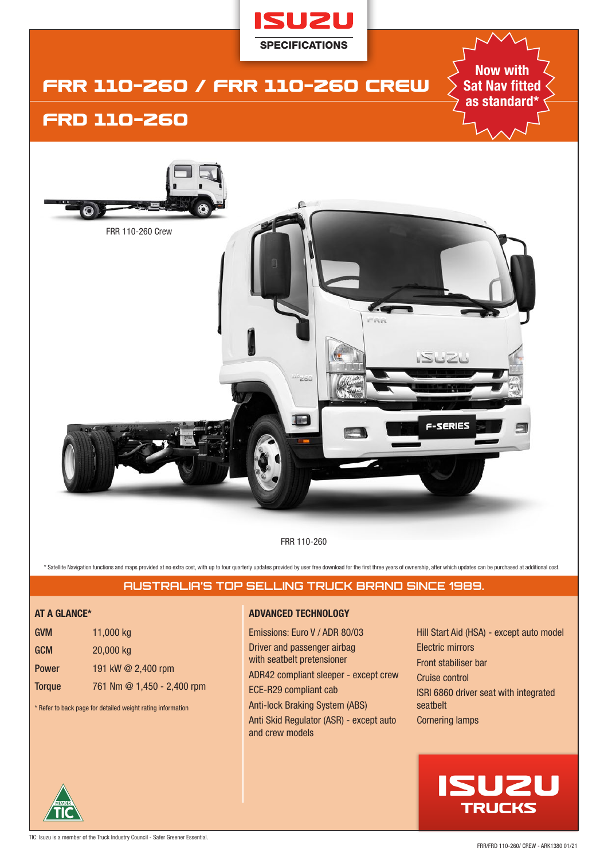

FRR 110-260

\* Satellite Navigation functions and maps provided at no extra cost, with up to four quarterly updates provided by user free download for the first three years of ownership, after which updates can be purchased at addition

# **AUSTRALIA'S TOP SELLING TRUCK BRAND SINCE 1989.**

| <b>GVM</b>    | 11,000 kg                  |
|---------------|----------------------------|
| <b>GCM</b>    | 20,000 kg                  |
| <b>Power</b>  | 191 kW @ 2,400 rpm         |
| <b>Torque</b> | 761 Nm @ 1,450 - 2,400 rpm |

\* Refer to back page for detailed weight rating information

# **AT A GLANCE\* ADVANCED TECHNOLOGY**

Emissions: Euro V / ADR 80/03 Driver and passenger airbag with seatbelt pretensioner ADR42 compliant sleeper - except crew ECE-R29 compliant cab Anti-lock Braking System (ABS) Anti Skid Regulator (ASR) - except auto and crew models

Hill Start Aid (HSA) - except auto model Electric mirrors Front stabiliser bar Cruise control ISRI 6860 driver seat with integrated seatbelt Cornering lamps

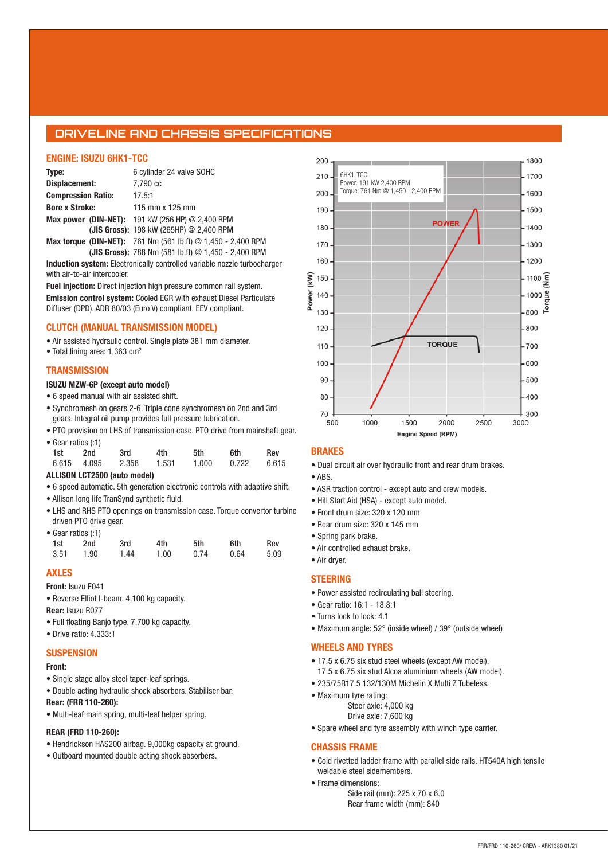# **DRIVELINE AND CHASSIS SPECIFICATIONS**

#### **ENGINE: ISUZU 6HK1-TCC**

| Type:                     | 6 cylinder 24 valve SOHC                                            |
|---------------------------|---------------------------------------------------------------------|
| Displacement:             | 7,790 cc                                                            |
| <b>Compression Ratio:</b> | 17.5:1                                                              |
| <b>Bore x Stroke:</b>     | 115 mm x 125 mm                                                     |
|                           | <b>Max power (DIN-NET):</b> 191 kW (256 HP) $@$ 2,400 RPM           |
|                           | (JIS Gross): 198 kW (265HP) @ 2,400 RPM                             |
|                           | <b>Max torque (DIN-NET):</b> 761 Nm (561 lb.ft) @ 1,450 - 2,400 RPM |

**(JIS Gross):** 788 Nm (581 lb.ft) @ 1,450 - 2,400 RPM **Induction system:** Electronically controlled variable nozzle turbocharger

with air-to-air intercooler.

**Fuel injection:** Direct injection high pressure common rail system. **Emission control system:** Cooled EGR with exhaust Diesel Particulate Diffuser (DPD). ADR 80/03 (Euro V) compliant. EEV compliant.

#### **CLUTCH (MANUAL TRANSMISSION MODEL)**

• Air assisted hydraulic control. Single plate 381 mm diameter.

• Total lining area: 1,363 cm<sup>2</sup>

#### **TRANSMISSION**

#### **ISUZU MZW-6P (except auto model)**

- 6 speed manual with air assisted shift.
- Synchromesh on gears 2-6. Triple cone synchromesh on 2nd and 3rd gears. Integral oil pump provides full pressure lubrication.
- PTO provision on LHS of transmission case. PTO drive from mainshaft gear. • Gear ratios (:1)

| 1st | 2nd | 3rd               | 4th   | 5th | 6th                 | Rev |
|-----|-----|-------------------|-------|-----|---------------------|-----|
|     |     | 6.615 4.095 2.358 | 1.531 |     | 1.000  0.722  6.615 |     |

#### **ALLISON LCT2500 (auto model)**

- 6 speed automatic. 5th generation electronic controls with adaptive shift.
- Allison long life TranSynd synthetic fluid.
- LHS and RHS PTO openings on transmission case. Torque convertor turbine driven PTO drive gear. • Gear ratios (:1)

|      | Gear ratios (: i ) |      |      |      |      |      |
|------|--------------------|------|------|------|------|------|
| 1st  | 2nd                | 3rd  | 4th  | 5th  | 6th  | Rev  |
| 3.51 | 1.90               | 1.44 | 1.00 | 0.74 | 0.64 | 5.09 |

#### **AXLES**

#### **Front:** Isuzu F041

• Reverse Elliot I-beam. 4,100 kg capacity.

**Rear:** Isuzu R077

- Full floating Banjo type. 7,700 kg capacity.
- Drive ratio: 4.333:1

#### **SUSPENSION**

#### **Front:**

- Single stage alloy steel taper-leaf springs.
- Double acting hydraulic shock absorbers. Stabiliser bar.
- **Rear: (FRR 110-260):**
- Multi-leaf main spring, multi-leaf helper spring.

### **REAR (FRD 110-260):**

- Hendrickson HAS200 airbag. 9,000kg capacity at ground.
- Outboard mounted double acting shock absorbers.



#### **BRAKES**

- Dual circuit air over hydraulic front and rear drum brakes.
- ABS.
- ASR traction control except auto and crew models.
- Hill Start Aid (HSA) except auto model.
- Front drum size: 320 x 120 mm
- Rear drum size: 320 x 145 mm
- Spring park brake.
- Air controlled exhaust brake.
- Air dryer.

#### **STEERING**

- Power assisted recirculating ball steering.
- Gear ratio: 16:1 18.8:1
- Turns lock to lock: 4.1
- Maximum angle: 52° (inside wheel) / 39° (outside wheel)

#### **WHEELS AND TYRES**

- 17.5 x 6.75 six stud steel wheels (except AW model).
- 17.5 x 6.75 six stud Alcoa aluminium wheels (AW model).
- 235/75R17.5 132/130M Michelin X Multi Z Tubeless.
- Maximum tyre rating:
	- Steer axle: 4,000 kg Drive axle: 7,600 kg
- Spare wheel and tyre assembly with winch type carrier.

#### **CHASSIS FRAME**

- Cold rivetted ladder frame with parallel side rails. HT540A high tensile weldable steel sidemembers.
- Frame dimensions:
	- Side rail (mm): 225 x 70 x 6.0 Rear frame width (mm): 840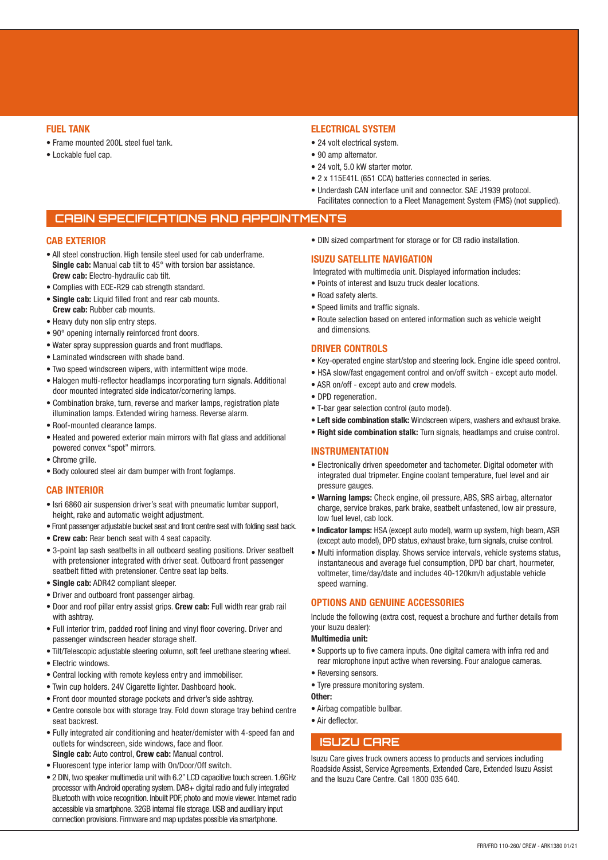#### **FUEL TANK**

- Frame mounted 200L steel fuel tank.
- Lockable fuel cap.

### **ELECTRICAL SYSTEM**

- 24 volt electrical system.
- 90 amp alternator.
- 24 volt, 5.0 kW starter motor.
- 2 x 115E41L (651 CCA) batteries connected in series.
- Underdash CAN interface unit and connector. SAE J1939 protocol. Facilitates connection to a Fleet Management System (FMS) (not supplied).

# **CABIN SPECIFICATIONS AND APPOINTMENTS**

#### **CAB EXTERIOR**

- All steel construction. High tensile steel used for cab underframe. **Single cab:** Manual cab tilt to 45° with torsion bar assistance. **Crew cab:** Electro-hydraulic cab tilt.
- Complies with ECE-R29 cab strength standard.
- **Single cab:** Liquid filled front and rear cab mounts. **Crew cab:** Rubber cab mounts.
- Heavy duty non slip entry steps.
- 90° opening internally reinforced front doors.
- Water spray suppression guards and front mudflaps.
- Laminated windscreen with shade band.
- Two speed windscreen wipers, with intermittent wipe mode.
- Halogen multi-reflector headlamps incorporating turn signals. Additional door mounted integrated side indicator/cornering lamps.
- Combination brake, turn, reverse and marker lamps, registration plate illumination lamps. Extended wiring harness. Reverse alarm.
- Roof-mounted clearance lamps.
- Heated and powered exterior main mirrors with flat glass and additional powered convex "spot" mirrors.
- Chrome grille.
- Body coloured steel air dam bumper with front foglamps.

#### **CAB INTERIOR**

- Isri 6860 air suspension driver's seat with pneumatic lumbar support, height, rake and automatic weight adjustment.
- Front passenger adjustable bucket seat and front centre seat with folding seat back.
- **Crew cab:** Rear bench seat with 4 seat capacity.
- 3-point lap sash seatbelts in all outboard seating positions. Driver seatbelt with pretensioner integrated with driver seat. Outboard front passenger seatbelt fitted with pretensioner. Centre seat lap belts.
- **Single cab:** ADR42 compliant sleeper.
- Driver and outboard front passenger airbag.
- Door and roof pillar entry assist grips. **Crew cab:** Full width rear grab rail with ashtray.
- Full interior trim, padded roof lining and vinyl floor covering. Driver and passenger windscreen header storage shelf.
- Tilt/Telescopic adjustable steering column, soft feel urethane steering wheel.
- Electric windows.
- Central locking with remote keyless entry and immobiliser.
- Twin cup holders. 24V Cigarette lighter. Dashboard hook.
- Front door mounted storage pockets and driver's side ashtray.
- Centre console box with storage tray. Fold down storage tray behind centre seat backrest.
- Fully integrated air conditioning and heater/demister with 4-speed fan and outlets for windscreen, side windows, face and floor. **Single cab:** Auto control, **Crew cab:** Manual control.
- Fluorescent type interior lamp with On/Door/Off switch.
- 2 DIN, two speaker multimedia unit with 6.2" LCD capacitive touch screen. 1.6GHz processor with Android operating system. DAB+ digital radio and fully integrated Bluetooth with voice recognition. Inbuilt PDF, photo and movie viewer. Internet radio accessible via smartphone. 32GB internal file storage. USB and auxilliary input connection provisions. Firmware and map updates possible via smartphone.

• DIN sized compartment for storage or for CB radio installation.

#### **ISUZU SATELLITE NAVIGATION**

Integrated with multimedia unit. Displayed information includes:

- Points of interest and Isuzu truck dealer locations.
- Road safety alerts.
- Speed limits and traffic signals.
- Route selection based on entered information such as vehicle weight and dimensions.

#### **DRIVER CONTROLS**

- Key-operated engine start/stop and steering lock. Engine idle speed control.
- HSA slow/fast engagement control and on/off switch except auto model.
- ASR on/off except auto and crew models.
- DPD regeneration.
- T-bar gear selection control (auto model).
- **Left side combination stalk:** Windscreen wipers, washers and exhaust brake.
- **Right side combination stalk:** Turn signals, headlamps and cruise control.

#### **INSTRUMENTATION**

- Electronically driven speedometer and tachometer. Digital odometer with integrated dual tripmeter. Engine coolant temperature, fuel level and air pressure gauges.
- **Warning lamps:** Check engine, oil pressure, ABS, SRS airbag, alternator charge, service brakes, park brake, seatbelt unfastened, low air pressure, low fuel level, cab lock.
- **Indicator lamps:** HSA (except auto model), warm up system, high beam, ASR (except auto model), DPD status, exhaust brake, turn signals, cruise control.
- Multi information display. Shows service intervals, vehicle systems status, instantaneous and average fuel consumption, DPD bar chart, hourmeter, voltmeter, time/day/date and includes 40-120km/h adjustable vehicle speed warning.

#### **OPTIONS AND GENUINE ACCESSORIES**

Include the following (extra cost, request a brochure and further details from your Isuzu dealer):

#### **Multimedia unit:**

- Supports up to five camera inputs. One digital camera with infra red and rear microphone input active when reversing. Four analogue cameras.
- Reversing sensors.
- Tyre pressure monitoring system.

# **Other:**

- Airbag compatible bullbar.
- Air deflector.

# **ISUZU CARE**

Isuzu Care gives truck owners access to products and services including Roadside Assist, Service Agreements, Extended Care, Extended Isuzu Assist and the Isuzu Care Centre. Call 1800 035 640.